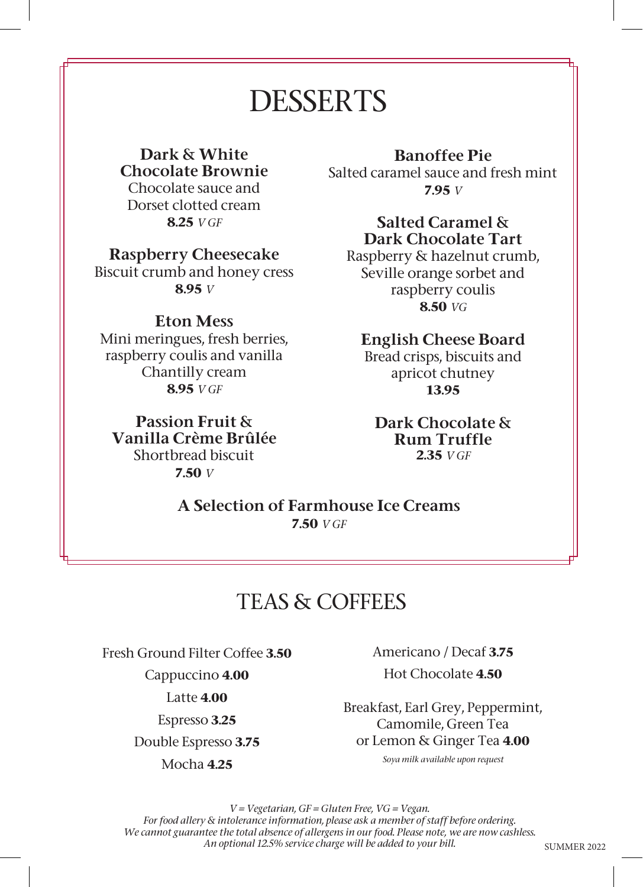# DESSERTS

#### Dark & White Chocolate Brownie Chocolate sauce and Dorset clotted cream **8.25** *V GF*

### Raspberry Cheesecake

Biscuit crumb and honey cress **8.95** *V* 

### Eton Mess

Mini meringues, fresh berries, raspberry coulis and vanilla Chantilly cream **8.95** *V GF* 

Passion Fruit & Vanilla Crème Brûlée Shortbread biscuit **7.50** *V*

# Banoffee Pie

Salted caramel sauce and fresh mint **7.95** *V*

#### Salted Caramel & Dark Chocolate Tart

Raspberry & hazelnut crumb, Seville orange sorbet and raspberry coulis **8.50** *VG*

# English Cheese Board

Bread crisps, biscuits and apricot chutney **13.95**

#### Dark Chocolate & Rum Truffle **2.35** *V GF*

A Selection of Farmhouse Ice Creams **7.50** *V GF*

# TEAS & COFFEES

Fresh Ground Filter Coffee **3.50**

Cappuccino **4.00**

Latte **4.00**

Espresso **3.25**

Double Espresso **3.75**

Mocha **4.25**

Americano / Decaf **3.75** Hot Chocolate **4.50**

Breakfast, Earl Grey, Peppermint, Camomile, Green Tea or Lemon & Ginger Tea **4.00**

*Soya milk available upon request*

*V = Vegetarian, GF = Gluten Free, VG = Vegan. For food allery & intolerance information, please ask a member of staff before ordering. We cannot guarantee the total absence of allergens in our food. Please note, we are now cashless. An optional 12.5% service charge will be added to your bill.*